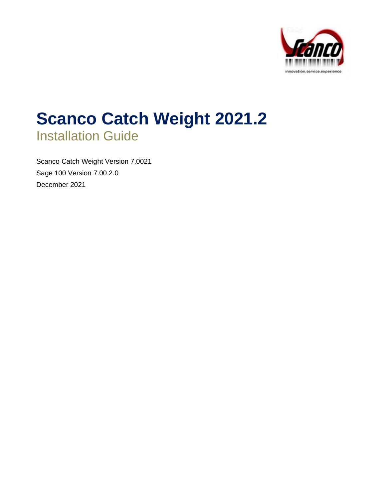

# **Scanco Catch Weight 2021.2** Installation Guide

Scanco Catch Weight Version 7.0021 Sage 100 Version 7.00.2.0 December 2021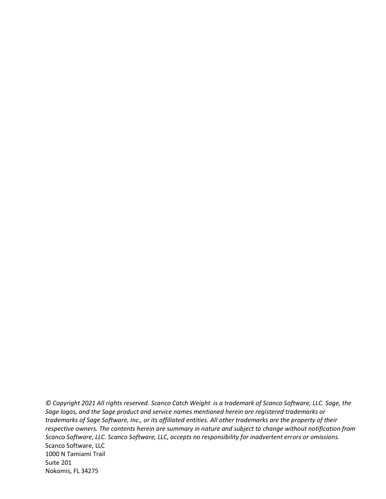*© Copyright 2021 All rights reserved. Scanco Catch Weight is a trademark of Scanco Software, LLC. Sage, the Sage logos, and the Sage product and service names mentioned herein are registered trademarks or trademarks of Sage Software, Inc., or its affiliated entities. All other trademarks are the property of their respective owners. The contents herein are summary in nature and subject to change without notification from Scanco Software, LLC. Scanco Software, LLC, accepts no responsibility for inadvertent errors or omissions.* Scanco Software, LLC 1000 N Tamiami Trail Suite 201 Nokomis, FL 34275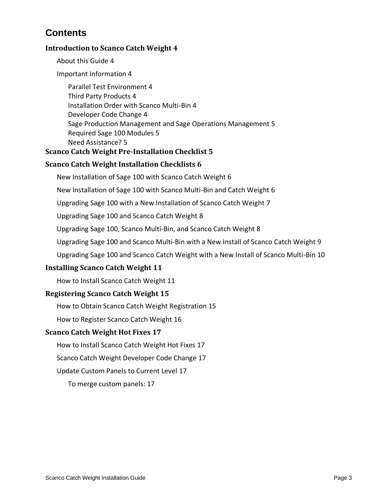# **Contents**

#### **[Introduction to Scanco Catch Weight](#page-3-0) 4**

[About this Guide](#page-3-1) 4

[Important Information](#page-3-2) 4

[Parallel Test Environment](#page-3-3) 4 [Third Party Products](#page-3-4) 4 [Installation Order with Scanco Multi-Bin](#page-3-5) 4 [Developer Code Change](#page-3-6) 4 [Sage Production Management and Sage Operations Management](#page-4-0) 5 [Required Sage 100 Modules](#page-4-1) 5 [Need Assistance?](#page-4-2) 5

#### **[Scanco Catch Weight Pre-Installation Checklist](#page-4-3) 5**

#### **[Scanco Catch Weight Installation Checklists](#page-5-0) 6**

[New Installation of Sage 100 with Scanco Catch Weight](#page-5-1) 6

[New Installation of Sage 100 with Scanco Multi-Bin and Catch Weight](#page-5-2) 6

[Upgrading Sage 100 with a New Installation of Scanco Catch Weight](#page-6-0) 7

[Upgrading Sage 100 and Scanco Catch Weight](#page-7-0) 8

Upgrading Sage [100, Scanco Multi-Bin, and Scanco Catch Weight](#page-7-1) 8

[Upgrading Sage 100 and Scanco Multi-Bin with a New Install of Scanco Catch Weight](#page-8-0) 9

[Upgrading Sage 100 and Scanco Catch Weight with a New Install of Scanco Multi-Bin](#page-9-0) 10

#### **[Installing Scanco Catch Weight](#page-10-0) 11**

[How to Install Scanco Catch Weight](#page-10-1) 11

#### **[Registering Scanco Catch Weight](#page-14-0) 15**

[How to Obtain Scanco Catch Weight Registration](#page-14-1) 15

[How to Register Scanco Catch Weight](#page-15-0) 16

#### **[Scanco Catch Weight Hot Fixes](#page-16-0) 17**

[How to Install Scanco Catch Weight Hot Fixes](#page-16-1) 17

[Scanco Catch Weight Developer Code Change](#page-16-2) 17

[Update Custom Panels to Current Level](#page-16-3) 17

[To merge custom panels:](#page-16-4) 17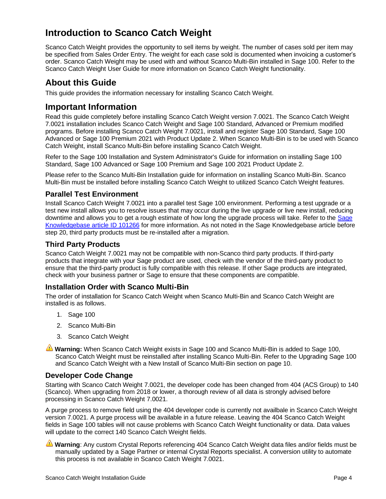# <span id="page-3-0"></span>**Introduction to Scanco Catch Weight**

Scanco Catch Weight provides the opportunity to sell items by weight. The number of cases sold per item may be specified from Sales Order Entry. The weight for each case sold is documented when invoicing a customer's order. Scanco Catch Weight may be used with and without Scanco Multi-Bin installed in Sage 100. Refer to the Scanco Catch Weight User Guide for more information on Scanco Catch Weight functionality.

# <span id="page-3-1"></span>**About this Guide**

This guide provides the information necessary for installing Scanco Catch Weight.

# <span id="page-3-2"></span>**Important Information**

Read this guide completely before installing Scanco Catch Weight version 7.0021. The Scanco Catch Weight 7.0021 installation includes Scanco Catch Weight and Sage 100 Standard, Advanced or Premium modified programs. Before installing Scanco Catch Weight 7.0021, install and register Sage 100 Standard, Sage 100 Advanced or Sage 100 Premium 2021 with Product Update 2. When Scanco Multi-Bin is to be used with Scanco Catch Weight, install Scanco Multi-Bin before installing Scanco Catch Weight.

Refer to the Sage 100 Installation and System Administrator's Guide for information on installing Sage 100 Standard, Sage 100 Advanced or Sage 100 Premium and Sage 100 2021 Product Update 2.

Please refer to the Scanco Multi-Bin Installation guide for information on installing Scanco Multi-Bin. Scanco Multi-Bin must be installed before installing Scanco Catch Weight to utilized Scanco Catch Weight features.

#### <span id="page-3-3"></span>**Parallel Test Environment**

Install Scanco Catch Weight 7.0021 into a parallel test Sage 100 environment. Performing a test upgrade or a test new install allows you to resolve issues that may occur during the live upgrade or live new install, reducing downtime and allows you to get a rough estimate of how long the upgrade process will take. Refer to the [Sage](https://support.na.sage.com/selfservice/viewdocument.do?noCount=true&externalId=101266&sliceId=1&noCount=true&isLoadPublishedVer=&docType=kc&docTypeID=DT_Article&stateId=4535&cmd=displayKC&dialogID=184412&ViewedDocsListHelper=com.kanisa.apps.common.BaseViewedDocsListHelperImpl&openedFromSearchResults=true)  [Knowledgebase article ID 101266](https://support.na.sage.com/selfservice/viewdocument.do?noCount=true&externalId=101266&sliceId=1&noCount=true&isLoadPublishedVer=&docType=kc&docTypeID=DT_Article&stateId=4535&cmd=displayKC&dialogID=184412&ViewedDocsListHelper=com.kanisa.apps.common.BaseViewedDocsListHelperImpl&openedFromSearchResults=true) for more information. As not noted in the Sage Knowledgebase article before step 20, third party products must be re-installed after a migration.

#### <span id="page-3-4"></span>**Third Party Products**

Scanco Catch Weight 7.0021 may not be compatible with non-Scanco third party products. If third-party products that integrate with your Sage product are used, check with the vendor of the third-party product to ensure that the third-party product is fully compatible with this release. If other Sage products are integrated, check with your business partner or Sage to ensure that these components are compatible.

#### <span id="page-3-5"></span>**Installation Order with Scanco Multi-Bin**

The order of installation for Scanco Catch Weight when Scanco Multi-Bin and Scanco Catch Weight are installed is as follows.

- 1. Sage 100
- 2. Scanco Multi-Bin
- 3. Scanco Catch Weight

**Warning:** When Scanco Catch Weight exists in Sage 100 and Scanco Multi-Bin is added to Sage 100, Scanco Catch Weight must be reinstalled after installing Scanco Multi-Bin. Refer to th[e Upgrading Sage 100](#page-9-0) [and Scanco Catch Weight with a New Install of Scanco Multi-Bin](#page-9-0) section on page [10.](#page-9-0)

#### <span id="page-3-6"></span>**Developer Code Change**

Starting with Scanco Catch Weight 7.0021, the developer code has been changed from 404 (ACS Group) to 140 (Scanco). When upgrading from 2018 or lower, a thorough review of all data is strongly advised before processing in Scanco Catch Weight 7.0021.

A purge process to remove field using the 404 developer code is currently not availbale in Scanco Catch Weight version 7.0021. A purge process will be available in a future release. Leaving the 404 Scanco Catch Weight fields in Sage 100 tables will not cause problems with Scanco Catch Weight functionality or data. Data values will update to the correct 140 Scanco Catch Weight fields.

**Warning**: Any custom Crystal Reports referencing 404 Scanco Catch Weight data files and/or fields must be manually updated by a Sage Partner or internal Crystal Reports specialist. A conversion utility to automate this process is not available in Scanco Catch Weight 7.0021.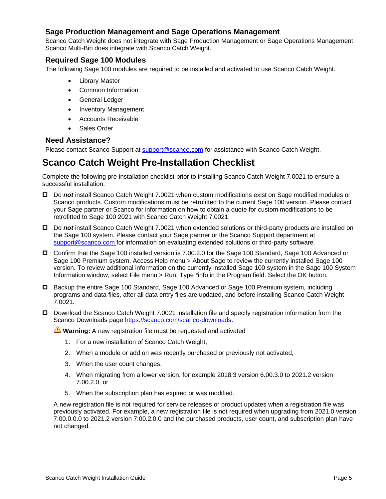#### <span id="page-4-0"></span>**Sage Production Management and Sage Operations Management**

Scanco Catch Weight does not integrate with Sage Production Management or Sage Operations Management. Scanco Multi-Bin does integrate with Scanco Catch Weight.

#### <span id="page-4-1"></span>**Required Sage 100 Modules**

The following Sage 100 modules are required to be installed and activated to use Scanco Catch Weight.

- Library Master
- Common Information
- General Ledger
- Inventory Management
- Accounts Receivable
- Sales Order

#### <span id="page-4-2"></span>**Need Assistance?**

Please contact Scanco Support at [support@scanco.com](mailto:support@scanco.com) for assistance with Scanco Catch Weight.

# <span id="page-4-3"></span>**Scanco Catch Weight Pre-Installation Checklist**

Complete the following pre-installation checklist prior to installing Scanco Catch Weight 7.0021 to ensure a successful installation.

- Do *not* install Scanco Catch Weight 7.0021 when custom modifications exist on Sage modified modules or Scanco products. Custom modifications must be retrofitted to the current Sage 100 version. Please contact your Sage partner or Scanco for information on how to obtain a quote for custom modifications to be retrofitted to Sage 100 2021 with Scanco Catch Weight 7.0021.
- Do *not* install Scanco Catch Weight 7.0021 when extended solutions or third-party products are installed on the Sage 100 system. Please contact your Sage partner or the Scanco Support department at [support@scanco.com](mailto:support@scanco.com) for information on evaluating extended solutions or third-party software.
- Confirm that the Sage 100 installed version is 7.00.2.0 for the Sage 100 Standard, Sage 100 Advanced or Sage 100 Premium system. Access Help menu > About Sage to review the currently installed Sage 100 version. To review additional information on the currently installed Sage 100 system in the Sage 100 System Information window, select File menu > Run. Type \*info in the Program field. Select the OK button.
- □ Backup the entire Sage 100 Standard, Sage 100 Advanced or Sage 100 Premium system, including programs and data files, after all data entry files are updated, and before installing Scanco Catch Weight 7.0021.
- □ Download the Scanco Catch Weight 7.0021 installation file and specify registration information from the Scanco Downloads page [https://scanco.com/scanco-downloads.](https://scanco.com/scanco-downloads/)

**Warning:** A new registration file must be requested and activated

- 1. For a new installation of Scanco Catch Weight,
- 2. When a module or add on was recently purchased or previously not activated,
- 3. When the user count changes,
- 4. When migrating from a lower version, for example 2018.3 version 6.00.3.0 to 2021.2 version 7.00.2.0, or
- 5. When the subscription plan has expired or was modified.

A new registration file is not required for service releases or product updates when a registration file was previously activated. For example, a new registration file is not required when upgrading from 2021.0 version 7.00.0.0.0 to 2021.2 version 7.00.2.0.0 and the purchased products, user count, and subscription plan have not changed.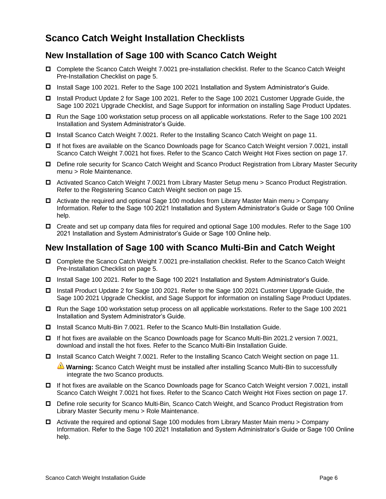# <span id="page-5-0"></span>**Scanco Catch Weight Installation Checklists**

## <span id="page-5-1"></span>**New Installation of Sage 100 with Scanco Catch Weight**

- Complete the Scanco Catch Weight 7.0021 pre-installation checklist. Refer to the [Scanco Catch Weight](#page-4-3) [Pre-Installation Checklist](#page-4-3) on page [5.](#page-4-3)
- Install Sage 100 2021. Refer to the Sage 100 2021 Installation and System Administrator's Guide.
- □ Install Product Update 2 for Sage 100 2021. Refer to the Sage 100 2021 Customer Upgrade Guide, the Sage 100 2021 Upgrade Checklist, and Sage Support for information on installing Sage Product Updates.
- Run the Sage 100 workstation setup process on all applicable workstations. Refer to the Sage 100 2021 Installation and System Administrator's Guide.
- Install Scanco Catch Weight 7.0021. Refer to the Installing [Scanco Catch Weight](#page-10-0) on page [11.](#page-10-0)
- □ If hot fixes are available on the Scanco Downloads page for Scanco Catch Weight version 7.0021, install Scanco Catch Weight 7.0021 hot fixes. Refer to the [Scanco Catch Weight](#page-16-0) Hot Fixes section on page [17.](#page-16-0)
- Define role security for Scanco Catch Weight and Scanco Product Registration from Library Master Security menu > Role Maintenance.
- □ Activated Scanco Catch Weight 7.0021 from Library Master Setup menu > Scanco Product Registration. Refer to the [Registering Scanco Catch Weight](#page-14-0) section on page [15.](#page-14-0)
- $\Box$  Activate the required and optional Sage 100 modules from Library Master Main menu > Company Information. Refer to the Sage 100 2021 Installation and System Administrator's Guide or Sage 100 Online help.
- Create and set up company data files for required and optional Sage 100 modules. Refer to the Sage 100 2021 Installation and System Administrator's Guide or Sage 100 Online help.

## <span id="page-5-2"></span>**New Installation of Sage 100 with Scanco Multi-Bin and Catch Weight**

- Complete the Scanco Catch Weight 7.0021 pre-installation checklist. Refer to the [Scanco Catch Weight](#page-4-3) [Pre-Installation Checklist](#page-4-3) on page [5.](#page-4-3)
- □ Install Sage 100 2021. Refer to the Sage 100 2021 Installation and System Administrator's Guide.
- □ Install Product Update 2 for Sage 100 2021. Refer to the Sage 100 2021 Customer Upgrade Guide, the Sage 100 2021 Upgrade Checklist, and Sage Support for information on installing Sage Product Updates.
- Run the Sage 100 workstation setup process on all applicable workstations. Refer to the Sage 100 2021 Installation and System Administrator's Guide.
- Install Scanco Multi-Bin 7.0021. Refer to the Scanco Multi-Bin Installation Guide.
- If hot fixes are available on the Scanco Downloads page for Scanco Multi-Bin 2021.2 version 7.0021, download and install the hot fixes. Refer to the Scanco Multi-Bin Installation Guide.
- □ Install [Scanco Catch Weight](#page-10-0) 7.0021. Refer to the Installing Scanco Catch Weight section on page [11.](#page-10-0)

**Warning:** Scanco Catch Weight must be installed after installing Scanco Multi-Bin to successfully integrate the two Scanco products.

- If hot fixes are available on the Scanco Downloads page for Scanco Catch Weight version 7.0021, install Scanco Catch Weight 7.0021 hot fixes. Refer to the [Scanco Catch Weight](#page-16-0) Hot Fixes section on page [17.](#page-16-0)
- Define role security for Scanco Multi-Bin, Scanco Catch Weight, and Scanco Product Registration from Library Master Security menu > Role Maintenance.
- $\Box$  Activate the required and optional Sage 100 modules from Library Master Main menu > Company Information. Refer to the Sage 100 2021 Installation and System Administrator's Guide or Sage 100 Online help.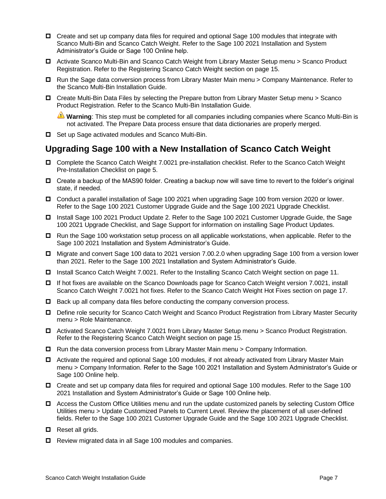- □ Create and set up company data files for required and optional Sage 100 modules that integrate with Scanco Multi-Bin and Scanco Catch Weight. Refer to the Sage 100 2021 Installation and System Administrator's Guide or Sage 100 Online help.
- Activate Scanco Multi-Bin and Scanco Catch Weight from Library Master Setup menu > Scanco Product Registration. Refer to the [Registering Scanco Catch Weight](#page-14-0) section on page [15.](#page-14-0)
- □ Run the Sage data conversion process from Library Master Main menu > Company Maintenance. Refer to the Scanco Multi-Bin Installation Guide.
- Create Multi-Bin Data Files by selecting the Prepare button from Library Master Setup menu > Scanco Product Registration. Refer to the Scanco Multi-Bin Installation Guide.

**Warning**: This step must be completed for all companies including companies where Scanco Multi-Bin is not activated. The Prepare Data process ensure that data dictionaries are properly merged.

□ Set up Sage activated modules and Scanco Multi-Bin.

# <span id="page-6-0"></span>**Upgrading Sage 100 with a New Installation of Scanco Catch Weight**

- Complete the Scanco Catch Weight 7.0021 pre-installation checklist. Refer to the [Scanco Catch Weight](#page-4-3) [Pre-Installation Checklist](#page-4-3) on page [5.](#page-4-3)
- Create a backup of the MAS90 folder. Creating a backup now will save time to revert to the folder's original state, if needed.
- Conduct a parallel installation of Sage 100 2021 when upgrading Sage 100 from version 2020 or lower. Refer to the Sage 100 2021 Customer Upgrade Guide and the Sage 100 2021 Upgrade Checklist.
- □ Install Sage 100 2021 Product Update 2. Refer to the Sage 100 2021 Customer Upgrade Guide, the Sage 100 2021 Upgrade Checklist, and Sage Support for information on installing Sage Product Updates.
- $\Box$  Run the Sage 100 workstation setup process on all applicable workstations, when applicable. Refer to the Sage 100 2021 Installation and System Administrator's Guide.
- Migrate and convert Sage 100 data to 2021 version 7.00.2.0 when upgrading Sage 100 from a version lower than 2021. Refer to the Sage 100 2021 Installation and System Administrator's Guide.
- Install Scanco Catch Weight 7.0021. Refer to the Installing [Scanco Catch Weight](#page-10-0) section on page [11.](#page-10-0)
- If hot fixes are available on the Scanco Downloads page for Scanco Catch Weight version 7.0021, install Scanco Catch Weight 7.0021 hot fixes. Refer to the [Scanco Catch Weight](#page-16-0) Hot Fixes section on page [17.](#page-16-0)
- $\Box$  Back up all company data files before conducting the company conversion process.
- Define role security for Scanco Catch Weight and Scanco Product Registration from Library Master Security menu > Role Maintenance.
- □ Activated Scanco Catch Weight 7.0021 from Library Master Setup menu > Scanco Product Registration. Refer to the [Registering Scanco Catch Weight](#page-14-0) section on page [15.](#page-14-0)
- $\Box$  Run the data conversion process from Library Master Main menu > Company Information.
- □ Activate the required and optional Sage 100 modules, if not already activated from Library Master Main menu > Company Information. Refer to the Sage 100 2021 Installation and System Administrator's Guide or Sage 100 Online help.
- Create and set up company data files for required and optional Sage 100 modules. Refer to the Sage 100 2021 Installation and System Administrator's Guide or Sage 100 Online help.
- Access the Custom Office Utilities menu and run the update customized panels by selecting Custom Office Utilities menu > Update Customized Panels to Current Level. Review the placement of all user-defined fields. Refer to the Sage 100 2021 Customer Upgrade Guide and the Sage 100 2021 Upgrade Checklist.
- $\Box$  Reset all grids.
- □ Review migrated data in all Sage 100 modules and companies.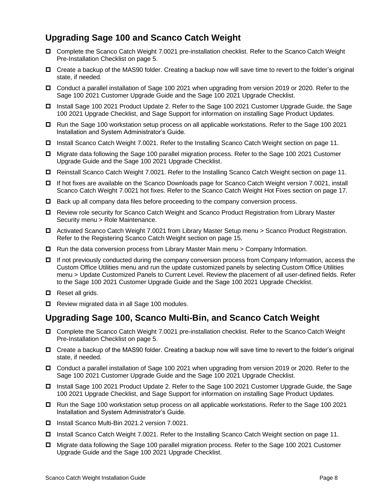# <span id="page-7-0"></span>**Upgrading Sage 100 and Scanco Catch Weight**

- Complete the Scanco Catch Weight 7.0021 pre-installation checklist. Refer to the [Scanco Catch Weight](#page-4-3) [Pre-Installation Checklist](#page-4-3) on page [5.](#page-4-3)
- □ Create a backup of the MAS90 folder. Creating a backup now will save time to revert to the folder's original state, if needed.
- Conduct a parallel installation of Sage 100 2021 when upgrading from version 2019 or 2020. Refer to the Sage 100 2021 Customer Upgrade Guide and the Sage 100 2021 Upgrade Checklist.
- □ Install Sage 100 2021 Product Update 2. Refer to the Sage 100 2021 Customer Upgrade Guide, the Sage 100 2021 Upgrade Checklist, and Sage Support for information on installing Sage Product Updates.
- □ Run the Sage 100 workstation setup process on all applicable workstations. Refer to the Sage 100 2021 Installation and System Administrator's Guide.
- □ Install [Scanco Catch Weight](#page-10-0) 7.0021. Refer to the Installing Scanco Catch Weight section on page [11.](#page-10-0)
- Migrate data following the Sage 100 parallel migration process. Refer to the Sage 100 2021 Customer Upgrade Guide and the Sage 100 2021 Upgrade Checklist.
- Reinstall Scanco Catch Weight 7.0021. Refer to the Installing [Scanco Catch Weight](#page-10-0) section on page [11.](#page-10-0)
- If hot fixes are available on the Scanco Downloads page for Scanco Catch Weight version 7.0021, install Scanco Catch Weight 7.0021 hot fixes. Refer to the [Scanco Catch Weight](#page-16-0) Hot Fixes section on page [17.](#page-16-0)
- $\Box$  Back up all company data files before proceeding to the company conversion process.
- Review role security for Scanco Catch Weight and Scanco Product Registration from Library Master Security menu > Role Maintenance.
- Activated Scanco Catch Weight 7.0021 from Library Master Setup menu > Scanco Product Registration. Refer to the [Registering Scanco Catch Weight](#page-14-0) section on page [15.](#page-14-0)
- $\Box$  Run the data conversion process from Library Master Main menu > Company Information.
- □ If not previously conducted during the company conversion process from Company Information, access the Custom Office Utilities menu and run the update customized panels by selecting Custom Office Utilities menu > Update Customized Panels to Current Level. Review the placement of all user-defined fields. Refer to the Sage 100 2021 Customer Upgrade Guide and the Sage 100 2021 Upgrade Checklist.
- $\Box$  Reset all grids.
- Review migrated data in all Sage 100 modules.

# <span id="page-7-1"></span>**Upgrading Sage 100, Scanco Multi-Bin, and Scanco Catch Weight**

- Complete the Scanco Catch Weight 7.0021 pre-installation checklist. Refer to the [Scanco Catch Weight](#page-4-3) [Pre-Installation Checklist](#page-4-3) on page [5.](#page-4-3)
- □ Create a backup of the MAS90 folder. Creating a backup now will save time to revert to the folder's original state, if needed.
- Conduct a parallel installation of Sage 100 2021 when upgrading from version 2019 or 2020. Refer to the Sage 100 2021 Customer Upgrade Guide and the Sage 100 2021 Upgrade Checklist.
- Install Sage 100 2021 Product Update 2. Refer to the Sage 100 2021 Customer Upgrade Guide, the Sage 100 2021 Upgrade Checklist, and Sage Support for information on installing Sage Product Updates.
- Run the Sage 100 workstation setup process on all applicable workstations. Refer to the Sage 100 2021 Installation and System Administrator's Guide.
- Install Scanco Multi-Bin 2021.2 version 7.0021.
- □ Install [Scanco Catch Weight](#page-10-0) 7.0021. Refer to the Installing Scanco Catch Weight section on page [11.](#page-10-0)
- Migrate data following the Sage 100 parallel migration process. Refer to the Sage 100 2021 Customer Upgrade Guide and the Sage 100 2021 Upgrade Checklist.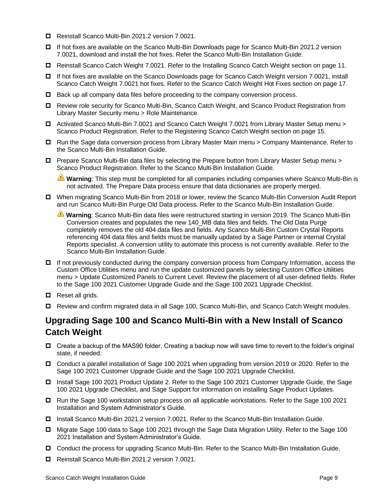- Reinstall Scanco Multi-Bin 2021.2 version 7.0021.
- If hot fixes are available on the Scanco Multi-Bin Downloads page for Scanco Multi-Bin 2021.2 version 7.0021, download and install the hot fixes. Refer the Scanco Multi-Bin Installation Guide.
- Reinstall Scanco Catch Weight 7.0021. Refer to the Installing [Scanco Catch Weight](#page-10-0) section on page [11.](#page-10-0)
- If hot fixes are available on the Scanco Downloads page for Scanco Catch Weight version 7.0021, install Scanco Catch Weight 7.0021 hot fixes. Refer to the [Scanco Catch Weight](#page-16-0) Hot Fixes section on page [17.](#page-16-0)
- $\Box$  Back up all company data files before proceeding to the company conversion process.
- □ Review role security for Scanco Multi-Bin, Scanco Catch Weight, and Scanco Product Registration from Library Master Security menu > Role Maintenance.
- Activated Scanco Multi-Bin 7.0021 and Scanco Catch Weight 7.0021 from Library Master Setup menu > Scanco Product Registration. Refer to the [Registering Scanco Catch Weight](#page-14-0) section on page [15.](#page-14-0)
- □ Run the Sage data conversion process from Library Master Main menu > Company Maintenance. Refer to the Scanco Multi-Bin Installation Guide.
- Prepare Scanco Multi-Bin data files by selecting the Prepare button from Library Master Setup menu > Scanco Product Registration. Refer to the Scanco Multi-Bin Installation Guide.

**Warning**: This step must be completed for all companies including companies where Scanco Multi-Bin is not activated. The Prepare Data process ensure that data dictionaries are properly merged.

- When migrating Scanco Multi-Bin from 2018 or lower, review the Scanco Multi-Bin Conversion Audit Report and run Scanco Multi-Bin Purge Old Data process. Refer to the Scanco Multi-Bin Installation Guide.
	- **Warning**: Scanco Multi-Bin data files were restructured starting in version 2019. The Scanco Multi-Bin Conversion creates and populates the new 140\_MB data files and fields. The Old Data Purge completely removes the old 404 data files and fields. Any Scanco Multi-Bin Custom Crystal Reports referencing 404 data files and fields must be manually updated by a Sage Partner or internal Crystal Reports specialist. A conversion utility to automate this process is not currently available. Refer to the Scanco Multi-Bin Installation Guide.
- $\Box$  If not previously conducted during the company conversion process from Company Information, access the Custom Office Utilities menu and run the update customized panels by selecting Custom Office Utilities menu > Update Customized Panels to Current Level. Review the placement of all user-defined fields. Refer to the Sage 100 2021 Customer Upgrade Guide and the Sage 100 2021 Upgrade Checklist.
- $\Box$  Reset all grids.
- Review and confirm migrated data in all Sage 100, Scanco Multi-Bin, and Scanco Catch Weight modules.

# <span id="page-8-0"></span>**Upgrading Sage 100 and Scanco Multi-Bin with a New Install of Scanco Catch Weight**

- Create a backup of the MAS90 folder. Creating a backup now will save time to revert to the folder's original state, if needed.
- Conduct a parallel installation of Sage 100 2021 when upgrading from version 2019 or 2020. Refer to the Sage 100 2021 Customer Upgrade Guide and the Sage 100 2021 Upgrade Checklist.
- □ Install Sage 100 2021 Product Update 2. Refer to the Sage 100 2021 Customer Upgrade Guide, the Sage 100 2021 Upgrade Checklist, and Sage Support for information on installing Sage Product Updates.
- Run the Sage 100 workstation setup process on all applicable workstations. Refer to the Sage 100 2021 Installation and System Administrator's Guide.
- Install Scanco Multi-Bin 2021.2 version 7.0021. Refer to the Scanco Multi-Bin Installation Guide.
- Migrate Sage 100 data to Sage 100 2021 through the Sage Data Migration Utility. Refer to the Sage 100 2021 Installation and System Administrator's Guide.
- Conduct the process for upgrading Scanco Multi-Bin. Refer to the Scanco Multi-Bin Installation Guide.
- Reinstall Scanco Multi-Bin 2021.2 version 7.0021.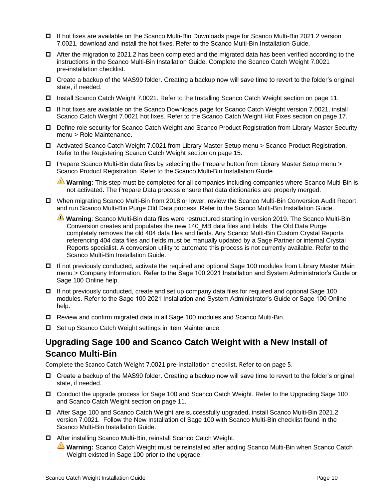- If hot fixes are available on the Scanco Multi-Bin Downloads page for Scanco Multi-Bin 2021.2 version 7.0021, download and install the hot fixes. Refer to the Scanco Multi-Bin Installation Guide.
- $\Box$  After the migration to 2021.2 has been completed and the migrated data has been verified according to the instructions in the Scanco Multi-Bin Installation Guide, Complete the Scanco Catch Weight 7.0021 pre-installation checklist.
- □ Create a backup of the MAS90 folder. Creating a backup now will save time to revert to the folder's original state, if needed.
- □ Install [Scanco Catch Weight](#page-10-0) 7.0021. Refer to the Installing Scanco Catch Weight section on page [11.](#page-10-0)
- □ If hot fixes are available on the Scanco Downloads page for Scanco Catch Weight version 7.0021, install Scanco Catch Weight 7.0021 hot fixes. Refer to the [Scanco Catch Weight](#page-16-0) Hot Fixes section on page [17.](#page-16-0)
- Define role security for Scanco Catch Weight and Scanco Product Registration from Library Master Security menu > Role Maintenance.
- Activated Scanco Catch Weight 7.0021 from Library Master Setup menu > Scanco Product Registration. Refer to the [Registering Scanco Catch Weight](#page-14-0) section on page [15.](#page-14-0)
- Prepare Scanco Multi-Bin data files by selecting the Prepare button from Library Master Setup menu > Scanco Product Registration. Refer to the Scanco Multi-Bin Installation Guide.

**Warning**: This step must be completed for all companies including companies where Scanco Multi-Bin is not activated. The Prepare Data process ensure that data dictionaries are properly merged.

- When migrating Scanco Multi-Bin from 2018 or lower, review the Scanco Multi-Bin Conversion Audit Report and run Scanco Multi-Bin Purge Old Data process. Refer to the Scanco Multi-Bin Installation Guide.
	- **Warning**: Scanco Multi-Bin data files were restructured starting in version 2019. The Scanco Multi-Bin Conversion creates and populates the new 140\_MB data files and fields. The Old Data Purge completely removes the old 404 data files and fields. Any Scanco Multi-Bin Custom Crystal Reports referencing 404 data files and fields must be manually updated by a Sage Partner or internal Crystal Reports specialist. A conversion utility to automate this process is not currently available. Refer to the Scanco Multi-Bin Installation Guide.
- □ If not previously conducted, activate the required and optional Sage 100 modules from Library Master Main menu > Company Information. Refer to the Sage 100 2021 Installation and System Administrator's Guide or Sage 100 Online help.
- □ If not previously conducted, create and set up company data files for required and optional Sage 100 modules. Refer to the Sage 100 2021 Installation and System Administrator's Guide or Sage 100 Online help.
- Review and confirm migrated data in all Sage 100 modules and Scanco Multi-Bin.
- □ Set up Scanco Catch Weight settings in Item Maintenance.

# <span id="page-9-0"></span>**Upgrading Sage 100 and Scanco Catch Weight with a New Install of Scanco Multi-Bin**

Complete the Scanco Catch Weight 7.0021 pre-installation checklist. Refer to on page [5.](#page-4-3)

- □ Create a backup of the MAS90 folder. Creating a backup now will save time to revert to the folder's original state, if needed.
- Conduct the upgrade process for Sage 100 and Scanco Catch Weight. Refer to the [Upgrading Sage 100](#page-7-0)  and [Scanco Catch Weight](#page-7-0) section on page [11.](#page-10-1)
- After Sage 100 and Scanco Catch Weight are successfully upgraded, install Scanco Multi-Bin 2021.2 version 7.0021. Follow the New Installation of Sage 100 with Scanco Multi-Bin checklist found in the Scanco Multi-Bin Installation Guide.
- □ After installing Scanco Multi-Bin, reinstall Scanco Catch Weight.
	- **Warning:** Scanco Catch Weight must be reinstalled after adding Scanco Multi-Bin when Scanco Catch Weight existed in Sage 100 prior to the upgrade.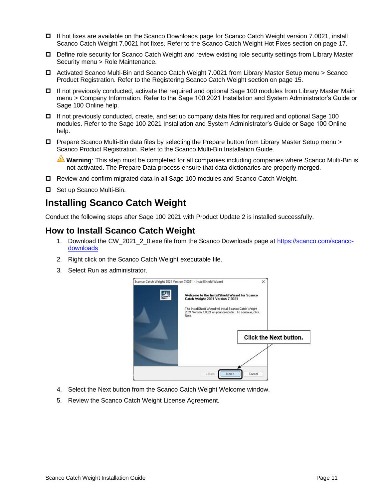- If hot fixes are available on the Scanco Downloads page for Scanco Catch Weight version 7.0021, install Scanco Catch Weight 7.0021 hot fixes. Refer to the [Scanco Catch Weight](#page-16-0) Hot Fixes section on page [17.](#page-16-0)
- Define role security for Scanco Catch Weight and review existing role security settings from Library Master Security menu > Role Maintenance.
- Activated Scanco Multi-Bin and Scanco Catch Weight 7.0021 from Library Master Setup menu > Scanco Product Registration. Refer to the [Registering Scanco Catch Weight](#page-14-0) section on page [15.](#page-14-0)
- □ If not previously conducted, activate the required and optional Sage 100 modules from Library Master Main menu > Company Information. Refer to the Sage 100 2021 Installation and System Administrator's Guide or Sage 100 Online help.
- $\Box$  If not previously conducted, create, and set up company data files for required and optional Sage 100 modules. Refer to the Sage 100 2021 Installation and System Administrator's Guide or Sage 100 Online help.
- Prepare Scanco Multi-Bin data files by selecting the Prepare button from Library Master Setup menu > Scanco Product Registration. Refer to the Scanco Multi-Bin Installation Guide.

**Warning**: This step must be completed for all companies including companies where Scanco Multi-Bin is not activated. The Prepare Data process ensure that data dictionaries are properly merged.

- Review and confirm migrated data in all Sage 100 modules and Scanco Catch Weight.
- □ Set up Scanco Multi-Bin.

# <span id="page-10-0"></span>**Installing Scanco Catch Weight**

Conduct the following steps after Sage 100 2021 with Product Update 2 is installed successfully.

### <span id="page-10-1"></span>**How to Install Scanco Catch Weight**

- 1. Download the CW\_2021\_2\_0.exe file from the Scanco Downloads page at [https://scanco.com/scanco](https://scanco.com/scanco-downloads/)[downloads](https://scanco.com/scanco-downloads/)
- 2. Right click on the Scanco Catch Weight executable file.
- 3. Select Run as administrator.



- 4. Select the Next button from the Scanco Catch Weight Welcome window.
- 5. Review the Scanco Catch Weight License Agreement.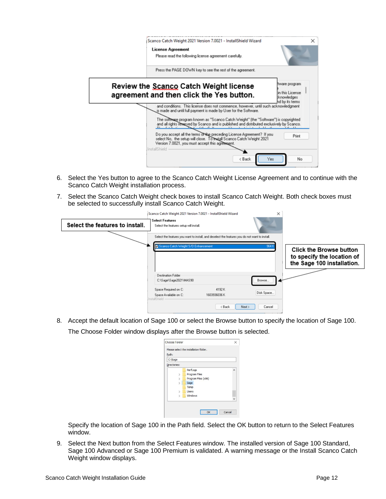| ×<br>Scanco Catch Weight 2021 Version 7.0021 - InstallShield Wizard                                                                                                                                                                                   |
|-------------------------------------------------------------------------------------------------------------------------------------------------------------------------------------------------------------------------------------------------------|
| <b>License Agreement</b><br>Please read the following license agreement carefully.                                                                                                                                                                    |
| Press the PAGE DOWN key to see the rest of the agreement.                                                                                                                                                                                             |
| tware program<br>Review the <b>Scanco</b> Catch Weight license<br>in this License<br>agreement and then click the Yes button.<br>sknowledges<br>nd by its terms<br>and conditions. This license does not commence, however, until such acknowledgment |
| is made and until full payment is made by User for the Software.<br>The software program known as "Scanco Catch Weight" (the "Software") is copyrighted<br>and all rights reserved by Scanco and is published and distributed exclusively by Scanco.  |
| Do you accept all the terms of the preceding License Agreement? If you<br>Print<br>select No. the setup will close. To matall Scanco Catch Weight 2021                                                                                                |
| Version 7.0021, you must accept this agreement.                                                                                                                                                                                                       |

- 6. Select the Yes button to agree to the Scanco Catch Weight License Agreement and to continue with the Scanco Catch Weight installation process.
- 7. Select the Scanco Catch Weight check boxes to install Scanco Catch Weight. Both check boxes must be selected to successfully install Scanco Catch Weight.

|                                 | Scanco Catch Weight 2021 Version 7.0021 - InstallShield Wizard                                                                        | ×          |                                                                                            |
|---------------------------------|---------------------------------------------------------------------------------------------------------------------------------------|------------|--------------------------------------------------------------------------------------------|
| Select the features to install. | <b>Select Features</b><br>Select the features setup will install.                                                                     |            |                                                                                            |
|                                 | Select the features you want to install, and deselect the features you do not want to install.<br>Scanco Catch Weight S/O Enhancement | 964 K      | <b>Click the Browse button</b><br>to specify the location of<br>the Sage 100 installation. |
|                                 | <b>Destination Folder</b><br>C:\Sage\Sage2021\MAS90                                                                                   | Browse     |                                                                                            |
|                                 | Space Required on C:<br>4192K<br>Space Available on C:<br>1603936036K<br>InstallShield                                                | Disk Space |                                                                                            |
|                                 | Next ><br>: Back                                                                                                                      | Cancel     |                                                                                            |

8. Accept the default location of Sage 100 or select the Browse button to specify the location of Sage 100. The Choose Folder window displays after the Browse button is selected.

| Path:        |                     |   |
|--------------|---------------------|---|
| C:\Sage      |                     |   |
| Directories: |                     |   |
|              | PerfLogs            | ۸ |
| 5            | Program Files       |   |
|              | Program Files (x86) |   |
|              | Sage                |   |
|              | Temp                |   |
|              | <b>Users</b>        |   |
|              | Windows             |   |
|              |                     |   |

Specify the location of Sage 100 in the Path field. Select the OK button to return to the Select Features window.

9. Select the Next button from the Select Features window. The installed version of Sage 100 Standard, Sage 100 Advanced or Sage 100 Premium is validated. A warning message or the Install Scanco Catch Weight window displays.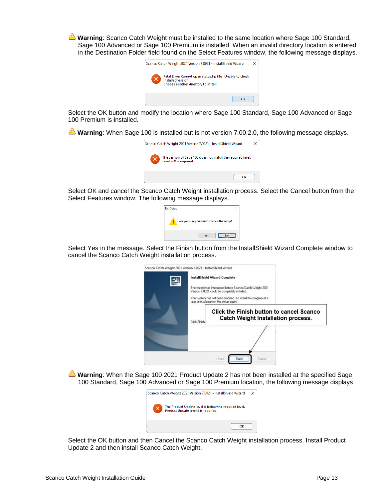**Warning**: Scanco Catch Weight must be installed to the same location where Sage 100 Standard, Sage 100 Advanced or Sage 100 Premium is installed. When an invalid directory location is entered in the Destination Folder field found on the Select Features window, the following message displays.



Select the OK button and modify the location where Sage 100 Standard, Sage 100 Advanced or Sage 100 Premium is installed.

**Warning**: When Sage 100 is installed but is not version 7.00.2.0, the following message displays.



Select OK and cancel the Scanco Catch Weight installation process. Select the Cancel button from the Select Features window. The following message displays.

| <b>Exit Setup</b> |                                            |  |
|-------------------|--------------------------------------------|--|
|                   | Are you sure you want to cancel the setup? |  |
|                   | <b>Yes</b>                                 |  |

Select Yes in the message. Select the Finish button from the InstallShield Wizard Complete window to cancel the Scanco Catch Weight installation process.

| Scanco Catch Weight 2021 Version 7.0021 - InstallShield Wizard                                              |  |
|-------------------------------------------------------------------------------------------------------------|--|
| <b>InstallShield Wizard Complete</b>                                                                        |  |
| The wizard was interrupted before Scanco Catch Weight 2021<br>Version 7,0021 could be completely installed. |  |
| Your system has not been modified. To install this program at a<br>later time, please run the setup again.  |  |
|                                                                                                             |  |
| Click the Finish button to cancel Scanco<br>Catch Weight Installation process.<br>Click Finish              |  |
|                                                                                                             |  |
|                                                                                                             |  |

**Warning**: When the Sage 100 2021 Product Update 2 has not been installed at the specified Sage 100 Standard, Sage 100 Advanced or Sage 100 Premium location, the following message displays



Select the OK button and then Cancel the Scanco Catch Weight installation process. Install Product Update 2 and then install Scanco Catch Weight.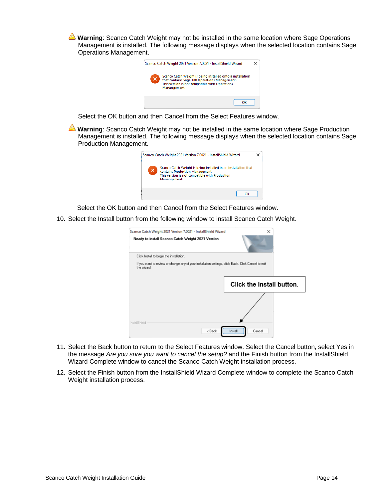**Warning**: Scanco Catch Weight may not be installed in the same location where Sage Operations Management is installed. The following message displays when the selected location contains Sage Operations Management.



Select the OK button and then Cancel from the Select Features window.

**Warning**: Scanco Catch Weight may not be installed in the same location where Sage Production Management is installed. The following message displays when the selected location contains Sage Production Management.



Select the OK button and then Cancel from the Select Features window.

10. Select the Install button from the following window to install Scanco Catch Weight.

| Scanco Catch Weight 2021 Version 7.0021 - InstallShield Wizard                                                     |                           | × |
|--------------------------------------------------------------------------------------------------------------------|---------------------------|---|
| Ready to install Scanco Catch Weight 2021 Version                                                                  |                           |   |
| Click Install to begin the installation.                                                                           |                           |   |
| If you want to review or change any of your installation settings, click Back. Click Cancel to exit<br>the wizard. |                           |   |
|                                                                                                                    | Click the Install button. |   |
|                                                                                                                    |                           |   |
| InstallShield<br>< Back                                                                                            | Install<br>Cancel         |   |
|                                                                                                                    |                           |   |

- 11. Select the Back button to return to the Select Features window. Select the Cancel button, select Yes in the message *Are you sure you want to cancel the setup?* and the Finish button from the InstallShield Wizard Complete window to cancel the Scanco Catch Weight installation process.
- 12. Select the Finish button from the InstallShield Wizard Complete window to complete the Scanco Catch Weight installation process.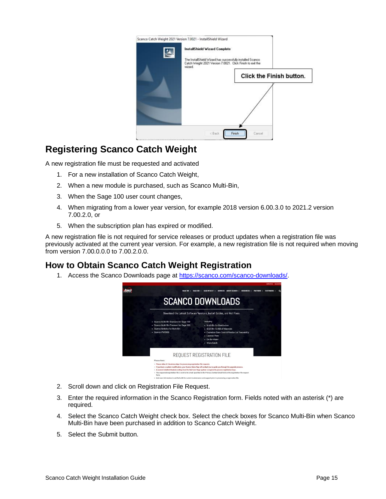| Scanco Catch Weight 2021 Version 7.0021 - InstallShield Wizard                                                                      |
|-------------------------------------------------------------------------------------------------------------------------------------|
| <b>InstallShield Wizard Complete</b>                                                                                                |
| The InstallShield Wizard has successfully installed Scanco<br>Catch Weight 2021 Version 7.0021. Click Finish to exit the<br>wizard. |
| Click the Finish button.                                                                                                            |
|                                                                                                                                     |
|                                                                                                                                     |
|                                                                                                                                     |
|                                                                                                                                     |
| Finish<br>< Back<br>Cancel                                                                                                          |

# <span id="page-14-0"></span>**Registering Scanco Catch Weight**

A new registration file must be requested and activated

- 1. For a new installation of Scanco Catch Weight,
- 2. When a new module is purchased, such as Scanco Multi-Bin,
- 3. When the Sage 100 user count changes,
- 4. When migrating from a lower year version, for example 2018 version 6.00.3.0 to 2021.2 version 7.00.2.0, or
- 5. When the subscription plan has expired or modified.

A new registration file is not required for service releases or product updates when a registration file was previously activated at the current year version. For example, a new registration file is not required when moving from version 7.00.0.0.0 to 7.00.2.0.0.

## <span id="page-14-1"></span>**How to Obtain Scanco Catch Weight Registration**

1. Access the Scanco Downloads page at [https://scanco.com/scanco-downloads/.](https://scanco.com/scanco-downloads/)



- 2. Scroll down and click on Registration File Request.
- 3. Enter the required information in the Scanco Registration form. Fields noted with an asterisk (\*) are required.
- 4. Select the Scanco Catch Weight check box. Select the check boxes for Scanco Multi-Bin when Scanco Multi-Bin have been purchased in addition to Scanco Catch Weight.
- 5. Select the Submit button.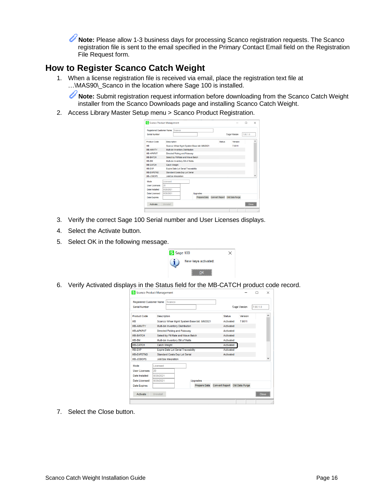U **Note:** Please allow 1-3 business days for processing Scanco registration requests. The Scanco registration file is sent to the email specified in the Primary Contact Email field on the Registration File Request form.

# <span id="page-15-0"></span>**How to Register Scanco Catch Weight**

1. When a license registration file is received via email, place the registration text file at …\MAS90\\_Scanco in the location where Sage 100 is installed.

**Note:** Submit registration request information before downloading from the Scanco Catch Weight installer from the Scanco Downloads page and installing Scanco Catch Weight.

2. Access Library Master Setup menu > Scanco Product Registration.

| S Scanco Product Management               |                     |                                     |                                            |                       |                | m        | $\times$ |
|-------------------------------------------|---------------------|-------------------------------------|--------------------------------------------|-----------------------|----------------|----------|----------|
| Registered Customer Name<br>Serial Number |                     | Scanco                              |                                            |                       | Sage Version   | 7.00.1.0 |          |
| <b>Product Code</b>                       | Description         |                                     |                                            | <b>Status</b>         | Version        |          |          |
| <b>MB</b>                                 |                     |                                     | Scanco Whse Mgmt System Base bld: 8/6/2021 |                       | 7.0011         |          |          |
| <b>MB-AINVTY</b>                          |                     | Multi-bin Inventory Distribution    |                                            |                       |                |          |          |
| <b>MB-APKPLIT</b>                         |                     | Directed Picking and Putaway        |                                            |                       |                |          |          |
| <b>MB-BATCH</b>                           |                     | Select by Fill Rate and Wave Batch  |                                            |                       |                |          |          |
| MB-BM                                     |                     | Multi-bin Inventory Bill of Matis   |                                            |                       |                |          |          |
| <b>MB-CATCH</b>                           | <b>Catch Weight</b> |                                     |                                            |                       |                |          |          |
| MB-EXP                                    |                     | Expire Date Lot Serial Traceability |                                            |                       |                |          |          |
| <b>MB-EXPSTND</b>                         |                     | Standard Costs Exp Lot Serial       |                                            |                       |                |          |          |
| MB-JOBOPS                                 |                     | JobOos Integration                  |                                            |                       |                |          |          |
| Mode                                      | Licensed            |                                     |                                            |                       |                |          |          |
| <b>User Licenses</b>                      | 20                  |                                     |                                            |                       |                |          |          |
| <b>Date Installed</b>                     | 8/28/2021           |                                     |                                            |                       |                |          |          |
| <b>Date Licensed</b>                      | 8/28/2021           |                                     | Upgrades                                   |                       |                |          |          |
| <b>Date Expires</b>                       |                     |                                     | Prepare Data                               | <b>Convert Report</b> | Old Data Purge |          |          |
| Activate                                  | Uninstall           |                                     |                                            |                       |                | Close    |          |
|                                           |                     |                                     |                                            |                       |                |          | .ñ       |

- 3. Verify the correct Sage 100 Serial number and User Licenses displays.
- 4. Select the Activate button.
- 5. Select OK in the following message.

| S Sage 100 |                                                                     |  |
|------------|---------------------------------------------------------------------|--|
|            | New keys activated:                                                 |  |
|            | ---------------------------------<br>------------------------------ |  |

6. Verify Activated displays in the Status field for the MB-CATCH product code record.



7. Select the Close button.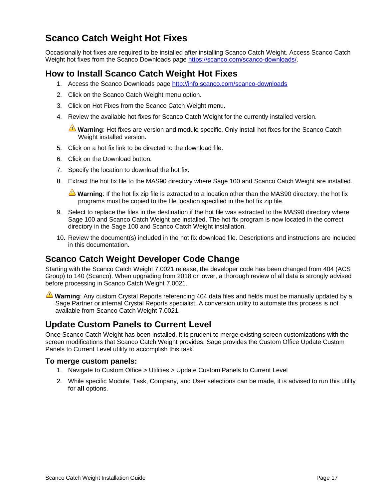# <span id="page-16-0"></span>**Scanco Catch Weight Hot Fixes**

Occasionally hot fixes are required to be installed after installing Scanco Catch Weight. Access Scanco Catch Weight hot fixes from the Scanco Downloads page [https://scanco.com/scanco-downloads/.](https://scanco.com/scanco-downloads/)

# <span id="page-16-1"></span>**How to Install Scanco Catch Weight Hot Fixes**

- 1. Access the Scanco Downloads page<http://info.scanco.com/scanco-downloads>
- 2. Click on the Scanco Catch Weight menu option.
- 3. Click on Hot Fixes from the Scanco Catch Weight menu.
- 4. Review the available hot fixes for Scanco Catch Weight for the currently installed version.

**Warning**: Hot fixes are version and module specific. Only install hot fixes for the Scanco Catch Weight installed version.

- 5. Click on a hot fix link to be directed to the download file.
- 6. Click on the Download button.
- 7. Specify the location to download the hot fix.
- 8. Extract the hot fix file to the MAS90 directory where Sage 100 and Scanco Catch Weight are installed.

**Warning**: If the hot fix zip file is extracted to a location other than the MAS90 directory, the hot fix programs must be copied to the file location specified in the hot fix zip file.

- 9. Select to replace the files in the destination if the hot file was extracted to the MAS90 directory where Sage 100 and Scanco Catch Weight are installed. The hot fix program is now located in the correct directory in the Sage 100 and Scanco Catch Weight installation.
- 10. Review the document(s) included in the hot fix download file. Descriptions and instructions are included in this documentation.

#### <span id="page-16-2"></span>**Scanco Catch Weight Developer Code Change**

Starting with the Scanco Catch Weight 7.0021 release, the developer code has been changed from 404 (ACS Group) to 140 (Scanco). When upgrading from 2018 or lower, a thorough review of all data is strongly advised before processing in Scanco Catch Weight 7.0021.

**Warning**: Any custom Crystal Reports referencing 404 data files and fields must be manually updated by a Sage Partner or internal Crystal Reports specialist. A conversion utility to automate this process is not available from Scanco Catch Weight 7.0021.

## <span id="page-16-3"></span>**Update Custom Panels to Current Level**

Once Scanco Catch Weight has been installed, it is prudent to merge existing screen customizations with the screen modifications that Scanco Catch Weight provides. Sage provides the Custom Office Update Custom Panels to Current Level utility to accomplish this task.

#### <span id="page-16-4"></span>**To merge custom panels:**

- 1. Navigate to Custom Office > Utilities > Update Custom Panels to Current Level
- 2. While specific Module, Task, Company, and User selections can be made, it is advised to run this utility for **all** options.